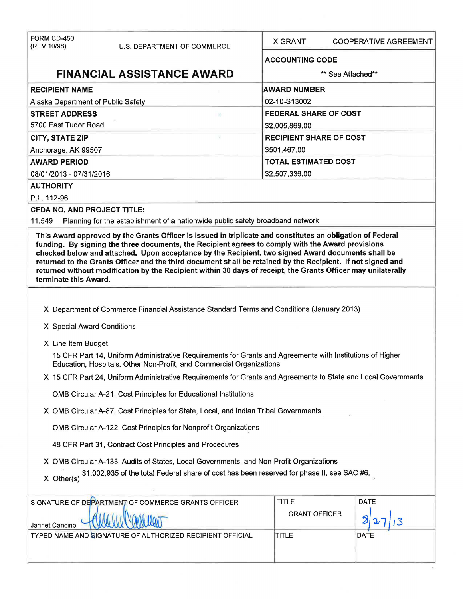| FORM CD-450                                                                                                                                                                                                                                                                                                                                                |                                                |  |  |  |
|------------------------------------------------------------------------------------------------------------------------------------------------------------------------------------------------------------------------------------------------------------------------------------------------------------------------------------------------------------|------------------------------------------------|--|--|--|
| (REV 10/98)<br><b>U.S. DEPARTMENT OF COMMERCE</b>                                                                                                                                                                                                                                                                                                          | <b>X GRANT</b><br><b>COOPERATIVE AGREEMENT</b> |  |  |  |
|                                                                                                                                                                                                                                                                                                                                                            | <b>ACCOUNTING CODE</b>                         |  |  |  |
| <b>FINANCIAL ASSISTANCE AWARD</b>                                                                                                                                                                                                                                                                                                                          | ** See Attached**                              |  |  |  |
| <b>RECIPIENT NAME</b>                                                                                                                                                                                                                                                                                                                                      | <b>AWARD NUMBER</b>                            |  |  |  |
| Alaska Department of Public Safety                                                                                                                                                                                                                                                                                                                         | 02-10-S13002                                   |  |  |  |
| <b>FEDERAL SHARE OF COST</b><br><b>STREET ADDRESS</b>                                                                                                                                                                                                                                                                                                      |                                                |  |  |  |
| 5700 East Tudor Road                                                                                                                                                                                                                                                                                                                                       | \$2,005,869.00                                 |  |  |  |
| <b>RECIPIENT SHARE OF COST</b><br><b>CITY, STATE ZIP</b>                                                                                                                                                                                                                                                                                                   |                                                |  |  |  |
| Anchorage, AK 99507                                                                                                                                                                                                                                                                                                                                        | \$501,467.00                                   |  |  |  |
| <b>AWARD PERIOD</b>                                                                                                                                                                                                                                                                                                                                        | <b>TOTAL ESTIMATED COST</b>                    |  |  |  |
| 08/01/2013 - 07/31/2016                                                                                                                                                                                                                                                                                                                                    | \$2,507,336.00                                 |  |  |  |
| <b>AUTHORITY</b>                                                                                                                                                                                                                                                                                                                                           |                                                |  |  |  |
| P.L. 112-96                                                                                                                                                                                                                                                                                                                                                |                                                |  |  |  |
| <b>CFDA NO. AND PROJECT TITLE:</b><br>Planning for the establishment of a nationwide public safety broadband network<br>11.549                                                                                                                                                                                                                             |                                                |  |  |  |
| This Award approved by the Grants Officer is issued in triplicate and constitutes an obligation of Federal                                                                                                                                                                                                                                                 |                                                |  |  |  |
| checked below and attached. Upon acceptance by the Recipient, two signed Award documents shall be<br>returned to the Grants Officer and the third document shall be retained by the Recipient. If not signed and<br>returned without modification by the Recipient within 30 days of receipt, the Grants Officer may unilaterally<br>terminate this Award. |                                                |  |  |  |
| X Department of Commerce Financial Assistance Standard Terms and Conditions (January 2013)<br>X Special Award Conditions                                                                                                                                                                                                                                   |                                                |  |  |  |
| X Line Item Budget                                                                                                                                                                                                                                                                                                                                         |                                                |  |  |  |
| 15 CFR Part 14, Uniform Administrative Requirements for Grants and Agreements with Institutions of Higher<br>Education, Hospitals, Other Non-Profit, and Commercial Organizations                                                                                                                                                                          |                                                |  |  |  |
| X 15 CFR Part 24, Uniform Administrative Requirements for Grants and Agreements to State and Local Governments                                                                                                                                                                                                                                             |                                                |  |  |  |
| OMB Circular A-21, Cost Principles for Educational Institutions                                                                                                                                                                                                                                                                                            |                                                |  |  |  |
| X OMB Circular A-87, Cost Principles for State, Local, and Indian Tribal Governments                                                                                                                                                                                                                                                                       |                                                |  |  |  |
| OMB Circular A-122, Cost Principles for Nonprofit Organizations                                                                                                                                                                                                                                                                                            |                                                |  |  |  |
| 48 CFR Part 31, Contract Cost Principles and Procedures                                                                                                                                                                                                                                                                                                    |                                                |  |  |  |
| X OMB Circular A-133, Audits of States, Local Governments, and Non-Profit Organizations<br>\$1,002,935 of the total Federal share of cost has been reserved for phase II, see SAC #6.<br>$X$ Other(s)                                                                                                                                                      |                                                |  |  |  |
| SIGNATURE OF DEPARTMENT OF COMMERCE GRANTS OFFICER                                                                                                                                                                                                                                                                                                         | <b>DATE</b><br><b>TITLE</b>                    |  |  |  |
| Jannet Cancino                                                                                                                                                                                                                                                                                                                                             | <b>GRANT OFFICER</b>                           |  |  |  |
| TYPED NAME AND GIGNATURE OF AUTHORIZED RECIPIENT OFFICIAL                                                                                                                                                                                                                                                                                                  | <b>TITLE</b><br>DATE                           |  |  |  |
|                                                                                                                                                                                                                                                                                                                                                            |                                                |  |  |  |